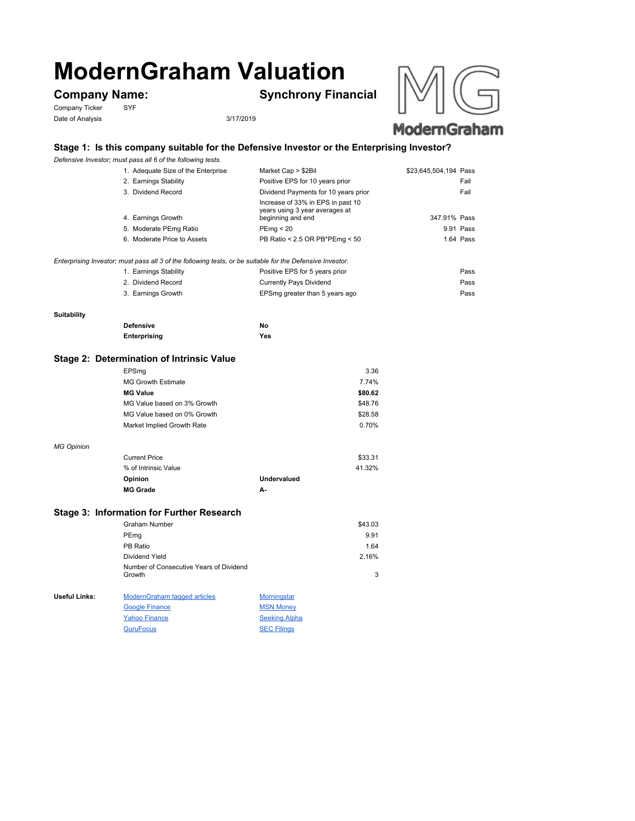# **ModernGraham Valuation**

Company Ticker SYF Date of Analysis 3/17/2019

**Company Name: Synchrony Financial**





## **ModernGraham**

#### **Stage 1: Is this company suitable for the Defensive Investor or the Enterprising Investor?**

*Defensive Investor; must pass all 6 of the following tests.*

| 1. Adequate Size of the Enterprise                                                                        | Market Cap > \$2Bil                                                                      | \$23,645,504,194 Pass |
|-----------------------------------------------------------------------------------------------------------|------------------------------------------------------------------------------------------|-----------------------|
| 2. Earnings Stability                                                                                     | Positive EPS for 10 years prior                                                          | Fail                  |
| 3. Dividend Record                                                                                        | Dividend Payments for 10 years prior                                                     | Fail                  |
| 4. Earnings Growth                                                                                        | Increase of 33% in EPS in past 10<br>years using 3 year averages at<br>beginning and end | 347.91% Pass          |
| 5. Moderate PEmg Ratio                                                                                    | PEmq < 20                                                                                | 9.91 Pass             |
| 6. Moderate Price to Assets                                                                               | PB Ratio < 2.5 OR PB*PEmg < 50                                                           | 1.64 Pass             |
|                                                                                                           |                                                                                          |                       |
| Enterprising Investor; must pass all 3 of the following tests, or be suitable for the Defensive Investor. |                                                                                          |                       |
|                                                                                                           |                                                                                          |                       |

| 1. Earnings Stability | Positive EPS for 5 years prior | Pass |
|-----------------------|--------------------------------|------|
| 2. Dividend Record    | Currently Pays Dividend        | Pass |
| 3. Earnings Growth    | EPSmg greater than 5 years ago | Pass |

#### **Suitability**

*MG Opinion*

| <b>Defensive</b> | No  |
|------------------|-----|
| Enterprising     | Yes |

#### **Stage 2: Determination of Intrinsic Value**

| EPSmg                       | 3.36    |
|-----------------------------|---------|
| MG Growth Estimate          | 7.74%   |
| <b>MG Value</b>             | \$80.62 |
| MG Value based on 3% Growth | \$48.76 |
| MG Value based on 0% Growth | \$28.58 |
| Market Implied Growth Rate  | 0.70%   |
|                             |         |
| <b>Current Price</b>        | \$33.31 |

| % of Intrinsic Value |             | 41.32% |
|----------------------|-------------|--------|
| <b>Opinion</b>       | Undervalued |        |
| <b>MG Grade</b>      | А-          |        |

### **Stage 3: Information for Further Research**

|               | Graham Number                                     |                    | \$43.03 |
|---------------|---------------------------------------------------|--------------------|---------|
|               | PEmg                                              |                    | 9.91    |
|               | PB Ratio                                          |                    | 1.64    |
|               | Dividend Yield                                    |                    | 2.16%   |
|               | Number of Consecutive Years of Dividend<br>Growth |                    | 3       |
| Useful Links: | <b>ModernGraham tagged articles</b>               | <b>Morningstar</b> |         |
|               | <b>Google Finance</b>                             | <b>MSN Money</b>   |         |

Yahoo Finance Seeking Alpha GuruFocus SEC Filings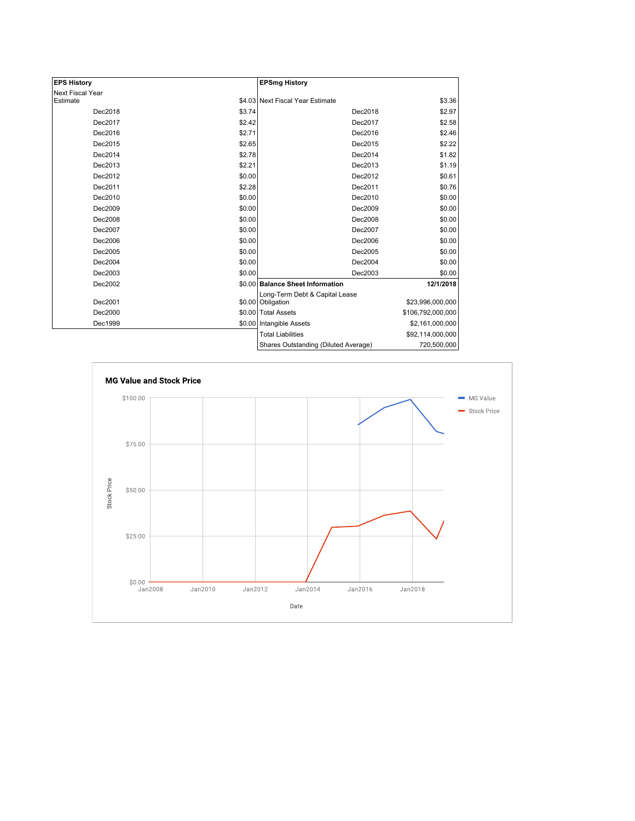| <b>EPS History</b> |        | <b>EPSmg History</b>                 |                   |
|--------------------|--------|--------------------------------------|-------------------|
| Next Fiscal Year   |        |                                      |                   |
| Estimate           |        | \$4.03 Next Fiscal Year Estimate     | \$3.36            |
| Dec2018            | \$3.74 | Dec2018                              | \$2.97            |
| Dec2017            | \$2.42 | Dec2017                              | \$2.58            |
| Dec2016            | \$2.71 | Dec2016                              | \$2.46            |
| Dec2015            | \$2.65 | Dec2015                              | \$2.22            |
| Dec2014            | \$2.78 | Dec2014                              | \$1.82            |
| Dec2013            | \$2.21 | Dec2013                              | \$1.19            |
| Dec2012            | \$0.00 | Dec2012                              | \$0.61            |
| Dec2011            | \$2.28 | Dec2011                              | \$0.76            |
| Dec2010            | \$0.00 | Dec2010                              | \$0.00            |
| Dec2009            | \$0.00 | Dec2009                              | \$0.00            |
| Dec2008            | \$0.00 | Dec2008                              | \$0.00            |
| Dec2007            | \$0.00 | Dec2007                              | \$0.00            |
| Dec2006            | \$0.00 | Dec2006                              | \$0.00            |
| Dec2005            | \$0.00 | Dec2005                              | \$0.00            |
| Dec2004            | \$0.00 | Dec2004                              | \$0.00            |
| Dec2003            | \$0.00 | Dec2003                              | \$0.00            |
| Dec2002            |        | \$0.00 Balance Sheet Information     | 12/1/2018         |
|                    |        | Long-Term Debt & Capital Lease       |                   |
| Dec2001            |        | \$0.00 Obligation                    | \$23,996,000,000  |
| Dec2000            |        | \$0.00 Total Assets                  | \$106,792,000,000 |
| Dec1999            |        | \$0.00 Intangible Assets             | \$2,161,000,000   |
|                    |        | <b>Total Liabilities</b>             | \$92,114,000,000  |
|                    |        | Shares Outstanding (Diluted Average) | 720,500,000       |